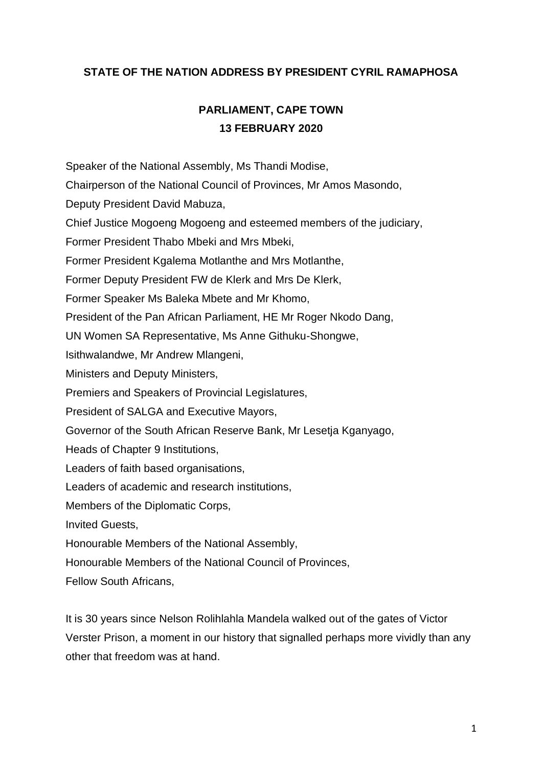## **STATE OF THE NATION ADDRESS BY PRESIDENT CYRIL RAMAPHOSA**

## **PARLIAMENT, CAPE TOWN 13 FEBRUARY 2020**

Speaker of the National Assembly, Ms Thandi Modise,

Chairperson of the National Council of Provinces, Mr Amos Masondo,

Deputy President David Mabuza,

Chief Justice Mogoeng Mogoeng and esteemed members of the judiciary,

Former President Thabo Mbeki and Mrs Mbeki,

Former President Kgalema Motlanthe and Mrs Motlanthe,

Former Deputy President FW de Klerk and Mrs De Klerk,

Former Speaker Ms Baleka Mbete and Mr Khomo,

President of the Pan African Parliament, HE Mr Roger Nkodo Dang,

UN Women SA Representative, Ms Anne Githuku-Shongwe,

Isithwalandwe, Mr Andrew Mlangeni,

Ministers and Deputy Ministers,

Premiers and Speakers of Provincial Legislatures,

President of SALGA and Executive Mayors,

Governor of the South African Reserve Bank, Mr Lesetja Kganyago,

Heads of Chapter 9 Institutions,

Leaders of faith based organisations,

Leaders of academic and research institutions,

Members of the Diplomatic Corps,

Invited Guests,

Honourable Members of the National Assembly,

Honourable Members of the National Council of Provinces,

Fellow South Africans,

It is 30 years since Nelson Rolihlahla Mandela walked out of the gates of Victor Verster Prison, a moment in our history that signalled perhaps more vividly than any other that freedom was at hand.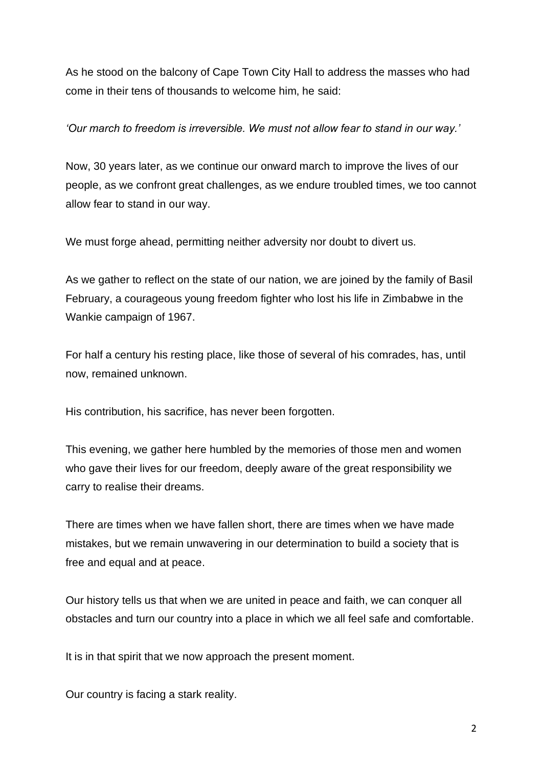As he stood on the balcony of Cape Town City Hall to address the masses who had come in their tens of thousands to welcome him, he said:

## *'Our march to freedom is irreversible. We must not allow fear to stand in our way.'*

Now, 30 years later, as we continue our onward march to improve the lives of our people, as we confront great challenges, as we endure troubled times, we too cannot allow fear to stand in our way.

We must forge ahead, permitting neither adversity nor doubt to divert us.

As we gather to reflect on the state of our nation, we are joined by the family of Basil February, a courageous young freedom fighter who lost his life in Zimbabwe in the Wankie campaign of 1967.

For half a century his resting place, like those of several of his comrades, has, until now, remained unknown.

His contribution, his sacrifice, has never been forgotten.

This evening, we gather here humbled by the memories of those men and women who gave their lives for our freedom, deeply aware of the great responsibility we carry to realise their dreams.

There are times when we have fallen short, there are times when we have made mistakes, but we remain unwavering in our determination to build a society that is free and equal and at peace.

Our history tells us that when we are united in peace and faith, we can conquer all obstacles and turn our country into a place in which we all feel safe and comfortable.

It is in that spirit that we now approach the present moment.

Our country is facing a stark reality.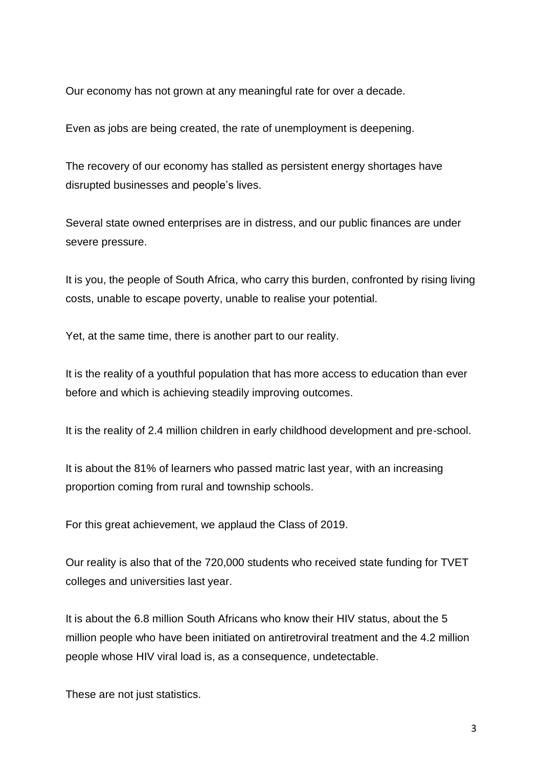Our economy has not grown at any meaningful rate for over a decade.

Even as jobs are being created, the rate of unemployment is deepening.

The recovery of our economy has stalled as persistent energy shortages have disrupted businesses and people's lives.

Several state owned enterprises are in distress, and our public finances are under severe pressure.

It is you, the people of South Africa, who carry this burden, confronted by rising living costs, unable to escape poverty, unable to realise your potential.

Yet, at the same time, there is another part to our reality.

It is the reality of a youthful population that has more access to education than ever before and which is achieving steadily improving outcomes.

It is the reality of 2.4 million children in early childhood development and pre-school.

It is about the 81% of learners who passed matric last year, with an increasing proportion coming from rural and township schools.

For this great achievement, we applaud the Class of 2019.

Our reality is also that of the 720,000 students who received state funding for TVET colleges and universities last year.

It is about the 6.8 million South Africans who know their HIV status, about the 5 million people who have been initiated on antiretroviral treatment and the 4.2 million people whose HIV viral load is, as a consequence, undetectable.

These are not just statistics.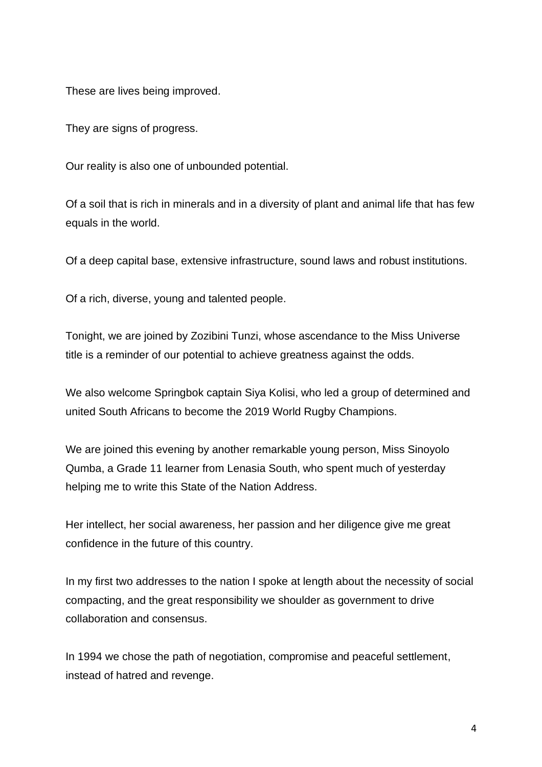These are lives being improved.

They are signs of progress.

Our reality is also one of unbounded potential.

Of a soil that is rich in minerals and in a diversity of plant and animal life that has few equals in the world.

Of a deep capital base, extensive infrastructure, sound laws and robust institutions.

Of a rich, diverse, young and talented people.

Tonight, we are joined by Zozibini Tunzi, whose ascendance to the Miss Universe title is a reminder of our potential to achieve greatness against the odds.

We also welcome Springbok captain Siya Kolisi, who led a group of determined and united South Africans to become the 2019 World Rugby Champions.

We are joined this evening by another remarkable young person, Miss Sinoyolo Qumba, a Grade 11 learner from Lenasia South, who spent much of yesterday helping me to write this State of the Nation Address.

Her intellect, her social awareness, her passion and her diligence give me great confidence in the future of this country.

In my first two addresses to the nation I spoke at length about the necessity of social compacting, and the great responsibility we shoulder as government to drive collaboration and consensus.

In 1994 we chose the path of negotiation, compromise and peaceful settlement, instead of hatred and revenge.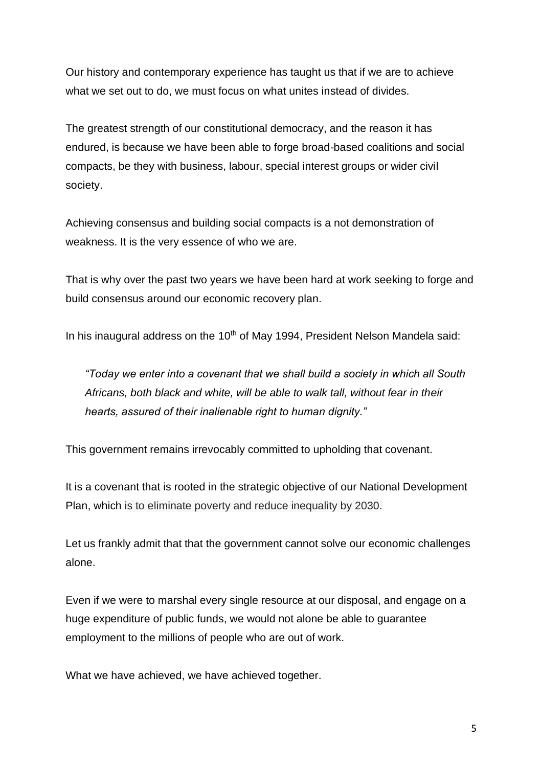Our history and contemporary experience has taught us that if we are to achieve what we set out to do, we must focus on what unites instead of divides.

The greatest strength of our constitutional democracy, and the reason it has endured, is because we have been able to forge broad-based coalitions and social compacts, be they with business, labour, special interest groups or wider civil society.

Achieving consensus and building social compacts is a not demonstration of weakness. It is the very essence of who we are.

That is why over the past two years we have been hard at work seeking to forge and build consensus around our economic recovery plan.

In his inaugural address on the  $10<sup>th</sup>$  of May 1994, President Nelson Mandela said:

*"Today we enter into a covenant that we shall build a society in which all South Africans, both black and white, will be able to walk tall, without fear in their hearts, assured of their inalienable right to human dignity."*

This government remains irrevocably committed to upholding that covenant.

It is a covenant that is rooted in the strategic objective of our National Development Plan, which is to eliminate poverty and reduce inequality by 2030.

Let us frankly admit that that the government cannot solve our economic challenges alone.

Even if we were to marshal every single resource at our disposal, and engage on a huge expenditure of public funds, we would not alone be able to guarantee employment to the millions of people who are out of work.

What we have achieved, we have achieved together.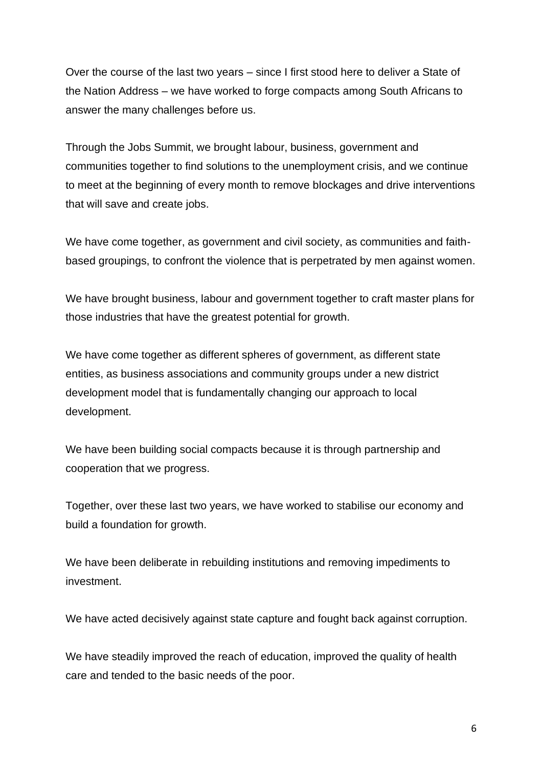Over the course of the last two years – since I first stood here to deliver a State of the Nation Address – we have worked to forge compacts among South Africans to answer the many challenges before us.

Through the Jobs Summit, we brought labour, business, government and communities together to find solutions to the unemployment crisis, and we continue to meet at the beginning of every month to remove blockages and drive interventions that will save and create jobs.

We have come together, as government and civil society, as communities and faithbased groupings, to confront the violence that is perpetrated by men against women.

We have brought business, labour and government together to craft master plans for those industries that have the greatest potential for growth.

We have come together as different spheres of government, as different state entities, as business associations and community groups under a new district development model that is fundamentally changing our approach to local development.

We have been building social compacts because it is through partnership and cooperation that we progress.

Together, over these last two years, we have worked to stabilise our economy and build a foundation for growth.

We have been deliberate in rebuilding institutions and removing impediments to investment.

We have acted decisively against state capture and fought back against corruption.

We have steadily improved the reach of education, improved the quality of health care and tended to the basic needs of the poor.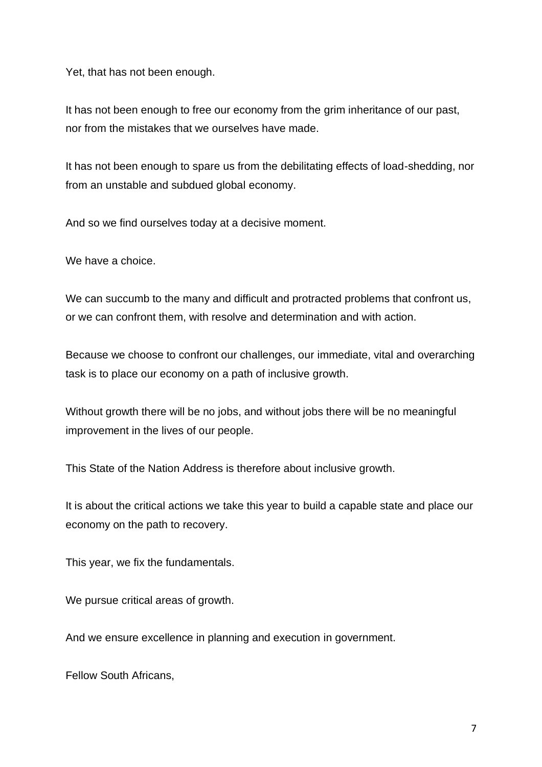Yet, that has not been enough.

It has not been enough to free our economy from the grim inheritance of our past, nor from the mistakes that we ourselves have made.

It has not been enough to spare us from the debilitating effects of load-shedding, nor from an unstable and subdued global economy.

And so we find ourselves today at a decisive moment.

We have a choice.

We can succumb to the many and difficult and protracted problems that confront us, or we can confront them, with resolve and determination and with action.

Because we choose to confront our challenges, our immediate, vital and overarching task is to place our economy on a path of inclusive growth.

Without growth there will be no jobs, and without jobs there will be no meaningful improvement in the lives of our people.

This State of the Nation Address is therefore about inclusive growth.

It is about the critical actions we take this year to build a capable state and place our economy on the path to recovery.

This year, we fix the fundamentals.

We pursue critical areas of growth.

And we ensure excellence in planning and execution in government.

Fellow South Africans,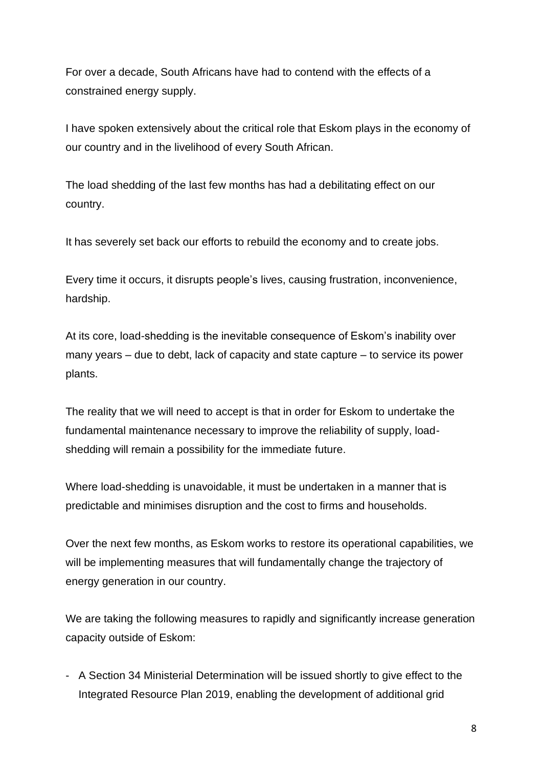For over a decade, South Africans have had to contend with the effects of a constrained energy supply.

I have spoken extensively about the critical role that Eskom plays in the economy of our country and in the livelihood of every South African.

The load shedding of the last few months has had a debilitating effect on our country.

It has severely set back our efforts to rebuild the economy and to create jobs.

Every time it occurs, it disrupts people's lives, causing frustration, inconvenience, hardship.

At its core, load-shedding is the inevitable consequence of Eskom's inability over many years – due to debt, lack of capacity and state capture – to service its power plants.

The reality that we will need to accept is that in order for Eskom to undertake the fundamental maintenance necessary to improve the reliability of supply, loadshedding will remain a possibility for the immediate future.

Where load-shedding is unavoidable, it must be undertaken in a manner that is predictable and minimises disruption and the cost to firms and households.

Over the next few months, as Eskom works to restore its operational capabilities, we will be implementing measures that will fundamentally change the trajectory of energy generation in our country.

We are taking the following measures to rapidly and significantly increase generation capacity outside of Eskom:

- A Section 34 Ministerial Determination will be issued shortly to give effect to the Integrated Resource Plan 2019, enabling the development of additional grid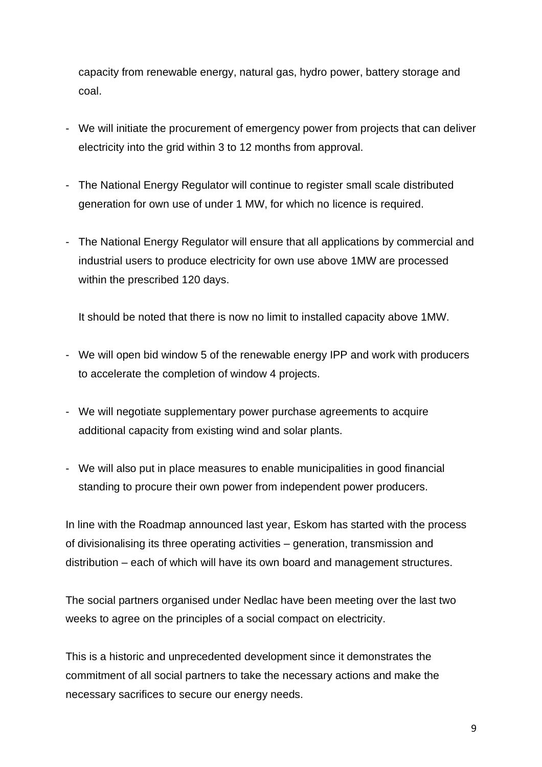capacity from renewable energy, natural gas, hydro power, battery storage and coal.

- We will initiate the procurement of emergency power from projects that can deliver electricity into the grid within 3 to 12 months from approval.
- The National Energy Regulator will continue to register small scale distributed generation for own use of under 1 MW, for which no licence is required.
- The National Energy Regulator will ensure that all applications by commercial and industrial users to produce electricity for own use above 1MW are processed within the prescribed 120 days.

It should be noted that there is now no limit to installed capacity above 1MW.

- We will open bid window 5 of the renewable energy IPP and work with producers to accelerate the completion of window 4 projects.
- We will negotiate supplementary power purchase agreements to acquire additional capacity from existing wind and solar plants.
- We will also put in place measures to enable municipalities in good financial standing to procure their own power from independent power producers.

In line with the Roadmap announced last year, Eskom has started with the process of divisionalising its three operating activities – generation, transmission and distribution – each of which will have its own board and management structures.

The social partners organised under Nedlac have been meeting over the last two weeks to agree on the principles of a social compact on electricity.

This is a historic and unprecedented development since it demonstrates the commitment of all social partners to take the necessary actions and make the necessary sacrifices to secure our energy needs.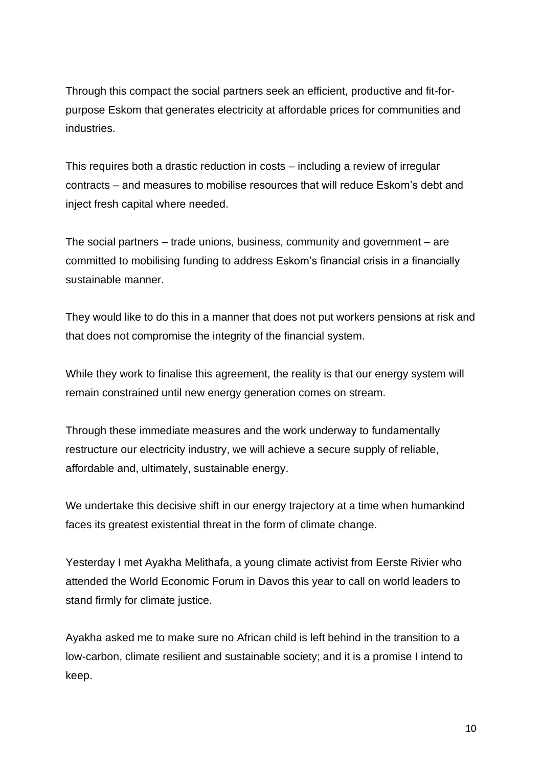Through this compact the social partners seek an efficient, productive and fit-forpurpose Eskom that generates electricity at affordable prices for communities and industries.

This requires both a drastic reduction in costs – including a review of irregular contracts – and measures to mobilise resources that will reduce Eskom's debt and inject fresh capital where needed.

The social partners – trade unions, business, community and government – are committed to mobilising funding to address Eskom's financial crisis in a financially sustainable manner.

They would like to do this in a manner that does not put workers pensions at risk and that does not compromise the integrity of the financial system.

While they work to finalise this agreement, the reality is that our energy system will remain constrained until new energy generation comes on stream.

Through these immediate measures and the work underway to fundamentally restructure our electricity industry, we will achieve a secure supply of reliable, affordable and, ultimately, sustainable energy.

We undertake this decisive shift in our energy trajectory at a time when humankind faces its greatest existential threat in the form of climate change.

Yesterday I met Ayakha Melithafa, a young climate activist from Eerste Rivier who attended the World Economic Forum in Davos this year to call on world leaders to stand firmly for climate justice.

Ayakha asked me to make sure no African child is left behind in the transition to a low-carbon, climate resilient and sustainable society; and it is a promise I intend to keep.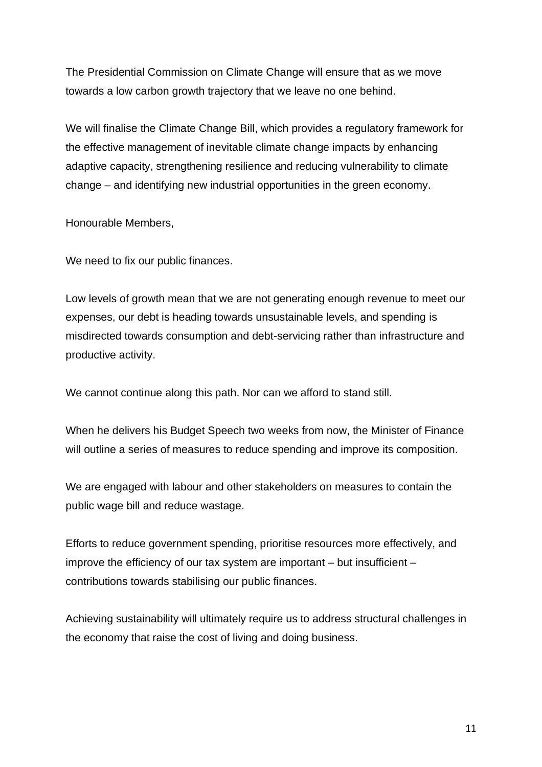The Presidential Commission on Climate Change will ensure that as we move towards a low carbon growth trajectory that we leave no one behind.

We will finalise the Climate Change Bill, which provides a regulatory framework for the effective management of inevitable climate change impacts by enhancing adaptive capacity, strengthening resilience and reducing vulnerability to climate change – and identifying new industrial opportunities in the green economy.

Honourable Members,

We need to fix our public finances.

Low levels of growth mean that we are not generating enough revenue to meet our expenses, our debt is heading towards unsustainable levels, and spending is misdirected towards consumption and debt-servicing rather than infrastructure and productive activity.

We cannot continue along this path. Nor can we afford to stand still.

When he delivers his Budget Speech two weeks from now, the Minister of Finance will outline a series of measures to reduce spending and improve its composition.

We are engaged with labour and other stakeholders on measures to contain the public wage bill and reduce wastage.

Efforts to reduce government spending, prioritise resources more effectively, and improve the efficiency of our tax system are important – but insufficient – contributions towards stabilising our public finances.

Achieving sustainability will ultimately require us to address structural challenges in the economy that raise the cost of living and doing business.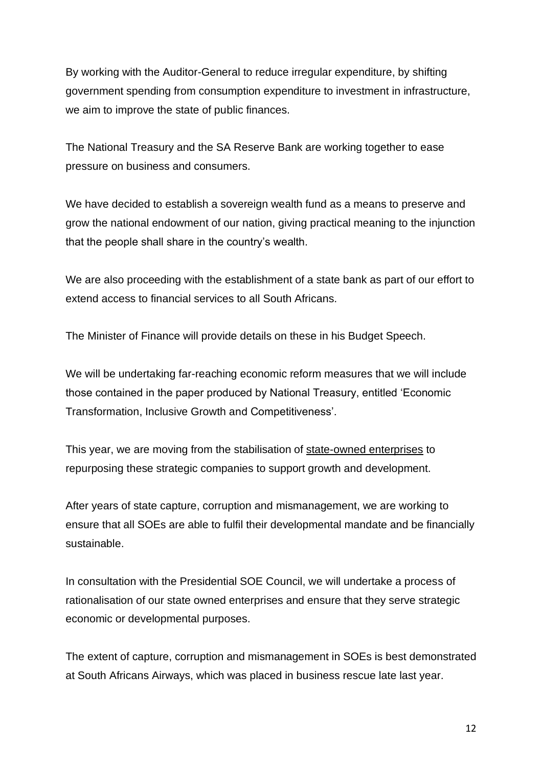By working with the Auditor-General to reduce irregular expenditure, by shifting government spending from consumption expenditure to investment in infrastructure, we aim to improve the state of public finances.

The National Treasury and the SA Reserve Bank are working together to ease pressure on business and consumers.

We have decided to establish a sovereign wealth fund as a means to preserve and grow the national endowment of our nation, giving practical meaning to the injunction that the people shall share in the country's wealth.

We are also proceeding with the establishment of a state bank as part of our effort to extend access to financial services to all South Africans.

The Minister of Finance will provide details on these in his Budget Speech.

We will be undertaking far-reaching economic reform measures that we will include those contained in the paper produced by National Treasury, entitled 'Economic Transformation, Inclusive Growth and Competitiveness'.

This year, we are moving from the stabilisation of state-owned enterprises to repurposing these strategic companies to support growth and development.

After years of state capture, corruption and mismanagement, we are working to ensure that all SOEs are able to fulfil their developmental mandate and be financially sustainable.

In consultation with the Presidential SOE Council, we will undertake a process of rationalisation of our state owned enterprises and ensure that they serve strategic economic or developmental purposes.

The extent of capture, corruption and mismanagement in SOEs is best demonstrated at South Africans Airways, which was placed in business rescue late last year.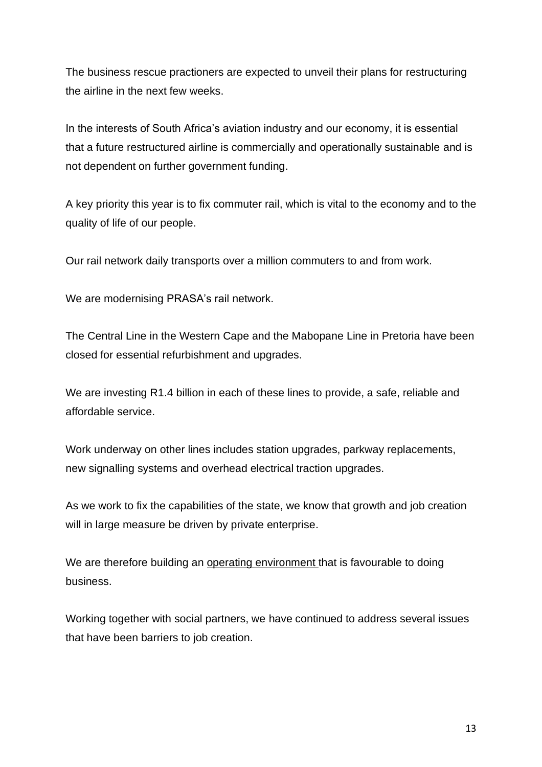The business rescue practioners are expected to unveil their plans for restructuring the airline in the next few weeks.

In the interests of South Africa's aviation industry and our economy, it is essential that a future restructured airline is commercially and operationally sustainable and is not dependent on further government funding.

A key priority this year is to fix commuter rail, which is vital to the economy and to the quality of life of our people.

Our rail network daily transports over a million commuters to and from work.

We are modernising PRASA's rail network.

The Central Line in the Western Cape and the Mabopane Line in Pretoria have been closed for essential refurbishment and upgrades.

We are investing R1.4 billion in each of these lines to provide, a safe, reliable and affordable service.

Work underway on other lines includes station upgrades, parkway replacements, new signalling systems and overhead electrical traction upgrades.

As we work to fix the capabilities of the state, we know that growth and job creation will in large measure be driven by private enterprise.

We are therefore building an operating environment that is favourable to doing business.

Working together with social partners, we have continued to address several issues that have been barriers to job creation.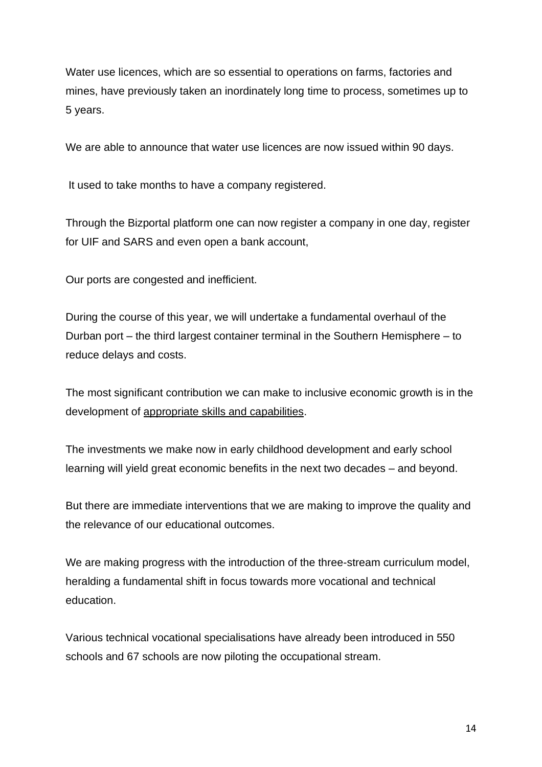Water use licences, which are so essential to operations on farms, factories and mines, have previously taken an inordinately long time to process, sometimes up to 5 years.

We are able to announce that water use licences are now issued within 90 days.

It used to take months to have a company registered.

Through the Bizportal platform one can now register a company in one day, register for UIF and SARS and even open a bank account,

Our ports are congested and inefficient.

During the course of this year, we will undertake a fundamental overhaul of the Durban port – the third largest container terminal in the Southern Hemisphere – to reduce delays and costs.

The most significant contribution we can make to inclusive economic growth is in the development of appropriate skills and capabilities.

The investments we make now in early childhood development and early school learning will yield great economic benefits in the next two decades – and beyond.

But there are immediate interventions that we are making to improve the quality and the relevance of our educational outcomes.

We are making progress with the introduction of the three-stream curriculum model, heralding a fundamental shift in focus towards more vocational and technical education.

Various technical vocational specialisations have already been introduced in 550 schools and 67 schools are now piloting the occupational stream.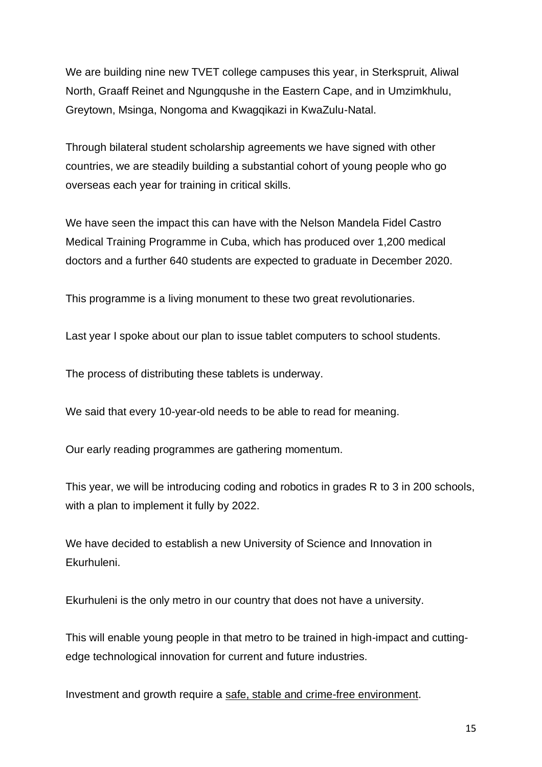We are building nine new TVET college campuses this year, in Sterkspruit, Aliwal North, Graaff Reinet and Ngungqushe in the Eastern Cape, and in Umzimkhulu, Greytown, Msinga, Nongoma and Kwagqikazi in KwaZulu-Natal.

Through bilateral student scholarship agreements we have signed with other countries, we are steadily building a substantial cohort of young people who go overseas each year for training in critical skills.

We have seen the impact this can have with the Nelson Mandela Fidel Castro Medical Training Programme in Cuba, which has produced over 1,200 medical doctors and a further 640 students are expected to graduate in December 2020.

This programme is a living monument to these two great revolutionaries.

Last year I spoke about our plan to issue tablet computers to school students.

The process of distributing these tablets is underway.

We said that every 10-year-old needs to be able to read for meaning.

Our early reading programmes are gathering momentum.

This year, we will be introducing coding and robotics in grades R to 3 in 200 schools, with a plan to implement it fully by 2022.

We have decided to establish a new University of Science and Innovation in Ekurhuleni.

Ekurhuleni is the only metro in our country that does not have a university.

This will enable young people in that metro to be trained in high-impact and cuttingedge technological innovation for current and future industries.

Investment and growth require a safe, stable and crime-free environment.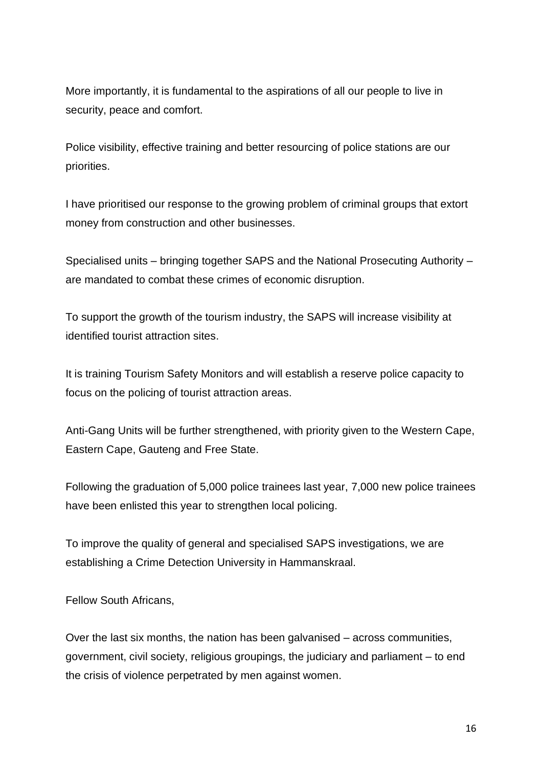More importantly, it is fundamental to the aspirations of all our people to live in security, peace and comfort.

Police visibility, effective training and better resourcing of police stations are our priorities.

I have prioritised our response to the growing problem of criminal groups that extort money from construction and other businesses.

Specialised units – bringing together SAPS and the National Prosecuting Authority – are mandated to combat these crimes of economic disruption.

To support the growth of the tourism industry, the SAPS will increase visibility at identified tourist attraction sites.

It is training Tourism Safety Monitors and will establish a reserve police capacity to focus on the policing of tourist attraction areas.

Anti-Gang Units will be further strengthened, with priority given to the Western Cape, Eastern Cape, Gauteng and Free State.

Following the graduation of 5,000 police trainees last year, 7,000 new police trainees have been enlisted this year to strengthen local policing.

To improve the quality of general and specialised SAPS investigations, we are establishing a Crime Detection University in Hammanskraal.

Fellow South Africans,

Over the last six months, the nation has been galvanised – across communities, government, civil society, religious groupings, the judiciary and parliament – to end the crisis of violence perpetrated by men against women.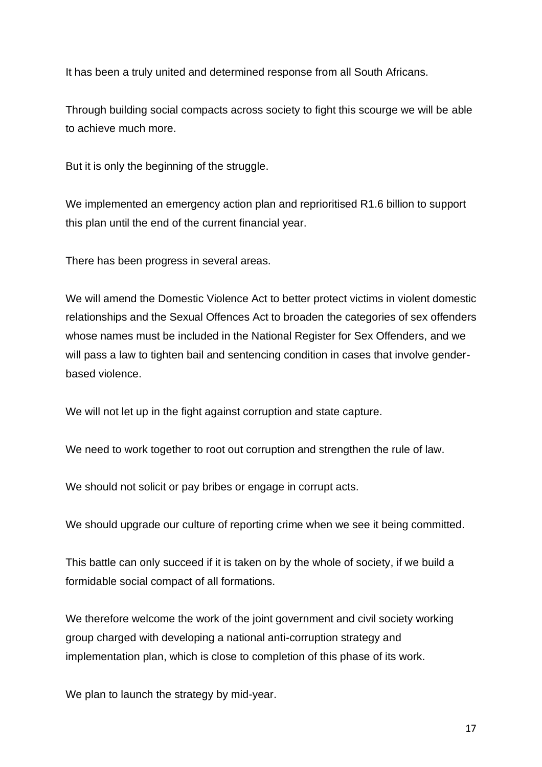It has been a truly united and determined response from all South Africans.

Through building social compacts across society to fight this scourge we will be able to achieve much more.

But it is only the beginning of the struggle.

We implemented an emergency action plan and reprioritised R1.6 billion to support this plan until the end of the current financial year.

There has been progress in several areas.

We will amend the Domestic Violence Act to better protect victims in violent domestic relationships and the Sexual Offences Act to broaden the categories of sex offenders whose names must be included in the National Register for Sex Offenders, and we will pass a law to tighten bail and sentencing condition in cases that involve genderbased violence.

We will not let up in the fight against corruption and state capture.

We need to work together to root out corruption and strengthen the rule of law.

We should not solicit or pay bribes or engage in corrupt acts.

We should upgrade our culture of reporting crime when we see it being committed.

This battle can only succeed if it is taken on by the whole of society, if we build a formidable social compact of all formations.

We therefore welcome the work of the joint government and civil society working group charged with developing a national anti-corruption strategy and implementation plan, which is close to completion of this phase of its work.

We plan to launch the strategy by mid-year.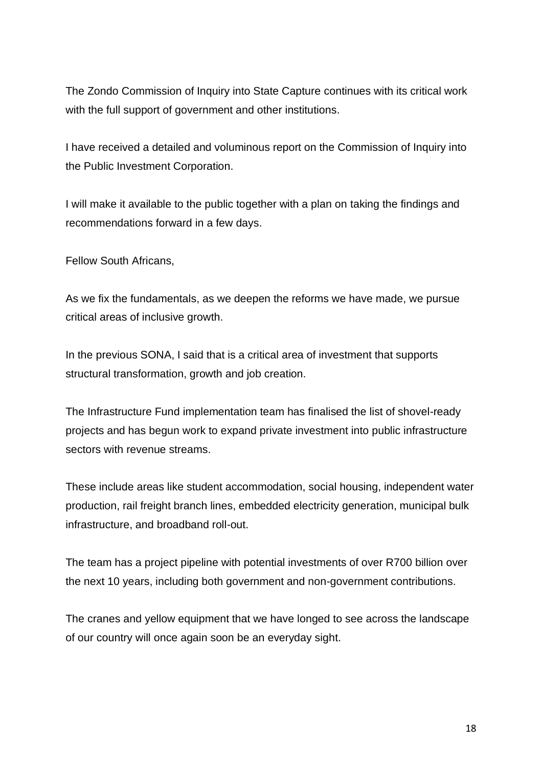The Zondo Commission of Inquiry into State Capture continues with its critical work with the full support of government and other institutions.

I have received a detailed and voluminous report on the Commission of Inquiry into the Public Investment Corporation.

I will make it available to the public together with a plan on taking the findings and recommendations forward in a few days.

Fellow South Africans,

As we fix the fundamentals, as we deepen the reforms we have made, we pursue critical areas of inclusive growth.

In the previous SONA, I said that is a critical area of investment that supports structural transformation, growth and job creation.

The Infrastructure Fund implementation team has finalised the list of shovel-ready projects and has begun work to expand private investment into public infrastructure sectors with revenue streams.

These include areas like student accommodation, social housing, independent water production, rail freight branch lines, embedded electricity generation, municipal bulk infrastructure, and broadband roll-out.

The team has a project pipeline with potential investments of over R700 billion over the next 10 years, including both government and non-government contributions.

The cranes and yellow equipment that we have longed to see across the landscape of our country will once again soon be an everyday sight.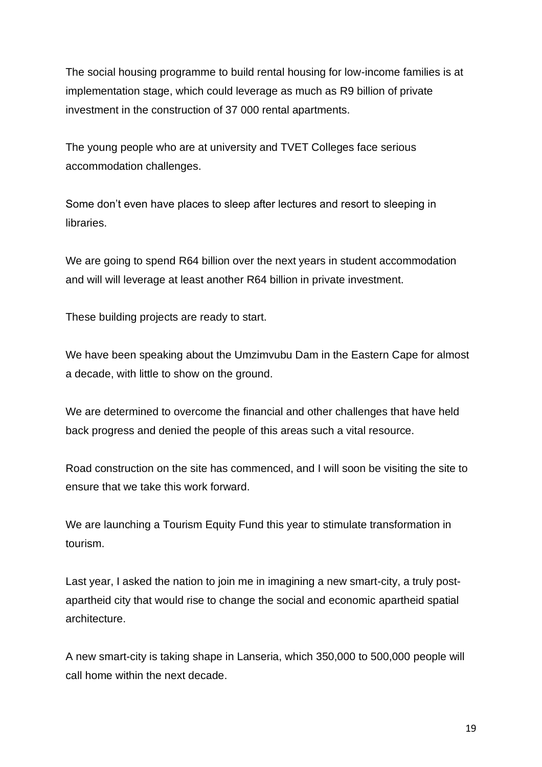The social housing programme to build rental housing for low-income families is at implementation stage, which could leverage as much as R9 billion of private investment in the construction of 37 000 rental apartments.

The young people who are at university and TVET Colleges face serious accommodation challenges.

Some don't even have places to sleep after lectures and resort to sleeping in libraries.

We are going to spend R64 billion over the next years in student accommodation and will will leverage at least another R64 billion in private investment.

These building projects are ready to start.

We have been speaking about the Umzimvubu Dam in the Eastern Cape for almost a decade, with little to show on the ground.

We are determined to overcome the financial and other challenges that have held back progress and denied the people of this areas such a vital resource.

Road construction on the site has commenced, and I will soon be visiting the site to ensure that we take this work forward.

We are launching a Tourism Equity Fund this year to stimulate transformation in tourism.

Last year, I asked the nation to join me in imagining a new smart-city, a truly postapartheid city that would rise to change the social and economic apartheid spatial architecture.

A new smart-city is taking shape in Lanseria, which 350,000 to 500,000 people will call home within the next decade.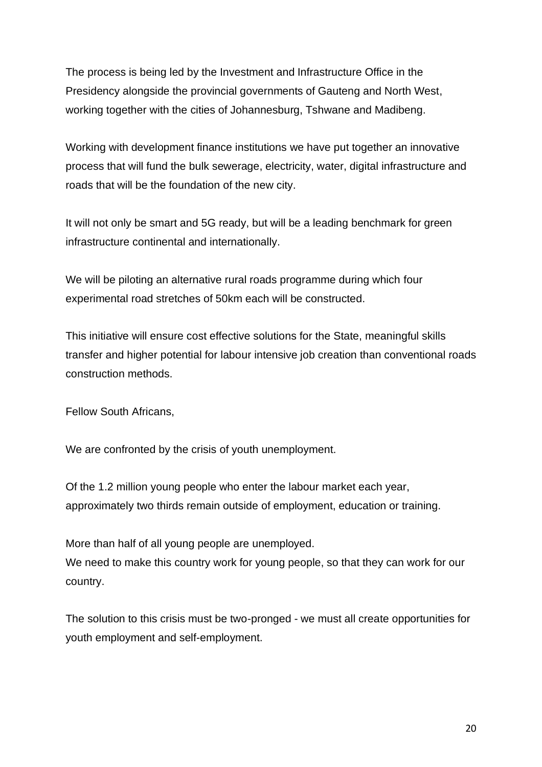The process is being led by the Investment and Infrastructure Office in the Presidency alongside the provincial governments of Gauteng and North West, working together with the cities of Johannesburg, Tshwane and Madibeng.

Working with development finance institutions we have put together an innovative process that will fund the bulk sewerage, electricity, water, digital infrastructure and roads that will be the foundation of the new city.

It will not only be smart and 5G ready, but will be a leading benchmark for green infrastructure continental and internationally.

We will be piloting an alternative rural roads programme during which four experimental road stretches of 50km each will be constructed.

This initiative will ensure cost effective solutions for the State, meaningful skills transfer and higher potential for labour intensive job creation than conventional roads construction methods.

Fellow South Africans,

We are confronted by the crisis of youth unemployment.

Of the 1.2 million young people who enter the labour market each year, approximately two thirds remain outside of employment, education or training.

More than half of all young people are unemployed.

We need to make this country work for young people, so that they can work for our country.

The solution to this crisis must be two-pronged - we must all create opportunities for youth employment and self-employment.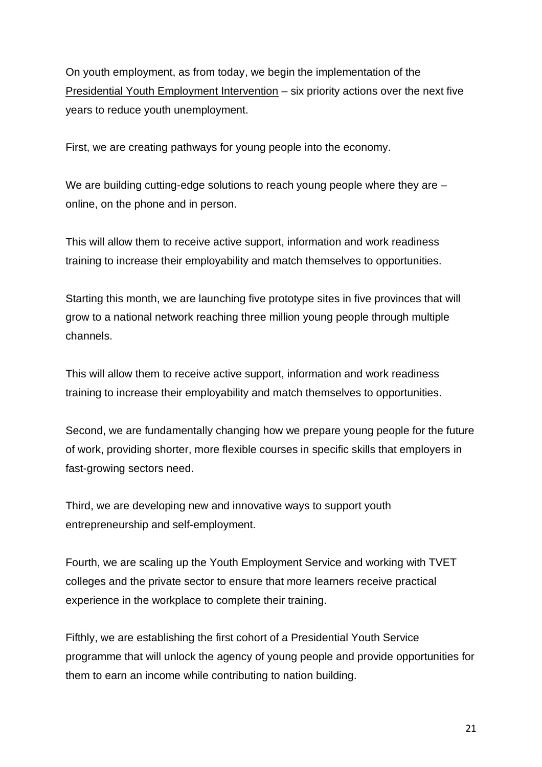On youth employment, as from today, we begin the implementation of the Presidential Youth Employment Intervention – six priority actions over the next five years to reduce youth unemployment.

First, we are creating pathways for young people into the economy.

We are building cutting-edge solutions to reach young people where they are – online, on the phone and in person.

This will allow them to receive active support, information and work readiness training to increase their employability and match themselves to opportunities.

Starting this month, we are launching five prototype sites in five provinces that will grow to a national network reaching three million young people through multiple channels.

This will allow them to receive active support, information and work readiness training to increase their employability and match themselves to opportunities.

Second, we are fundamentally changing how we prepare young people for the future of work, providing shorter, more flexible courses in specific skills that employers in fast-growing sectors need.

Third, we are developing new and innovative ways to support youth entrepreneurship and self-employment.

Fourth, we are scaling up the Youth Employment Service and working with TVET colleges and the private sector to ensure that more learners receive practical experience in the workplace to complete their training.

Fifthly, we are establishing the first cohort of a Presidential Youth Service programme that will unlock the agency of young people and provide opportunities for them to earn an income while contributing to nation building.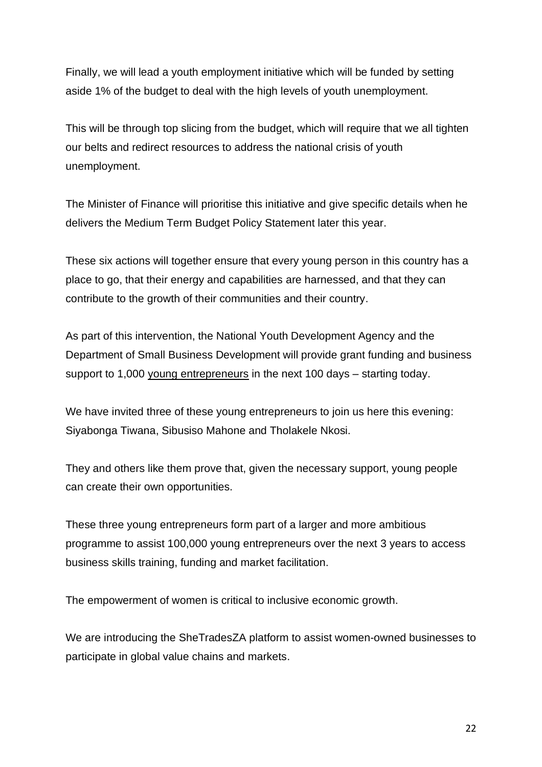Finally, we will lead a youth employment initiative which will be funded by setting aside 1% of the budget to deal with the high levels of youth unemployment.

This will be through top slicing from the budget, which will require that we all tighten our belts and redirect resources to address the national crisis of youth unemployment.

The Minister of Finance will prioritise this initiative and give specific details when he delivers the Medium Term Budget Policy Statement later this year.

These six actions will together ensure that every young person in this country has a place to go, that their energy and capabilities are harnessed, and that they can contribute to the growth of their communities and their country.

As part of this intervention, the National Youth Development Agency and the Department of Small Business Development will provide grant funding and business support to 1,000 young entrepreneurs in the next 100 days – starting today.

We have invited three of these young entrepreneurs to join us here this evening: Siyabonga Tiwana, Sibusiso Mahone and Tholakele Nkosi.

They and others like them prove that, given the necessary support, young people can create their own opportunities.

These three young entrepreneurs form part of a larger and more ambitious programme to assist 100,000 young entrepreneurs over the next 3 years to access business skills training, funding and market facilitation.

The empowerment of women is critical to inclusive economic growth.

We are introducing the SheTradesZA platform to assist women-owned businesses to participate in global value chains and markets.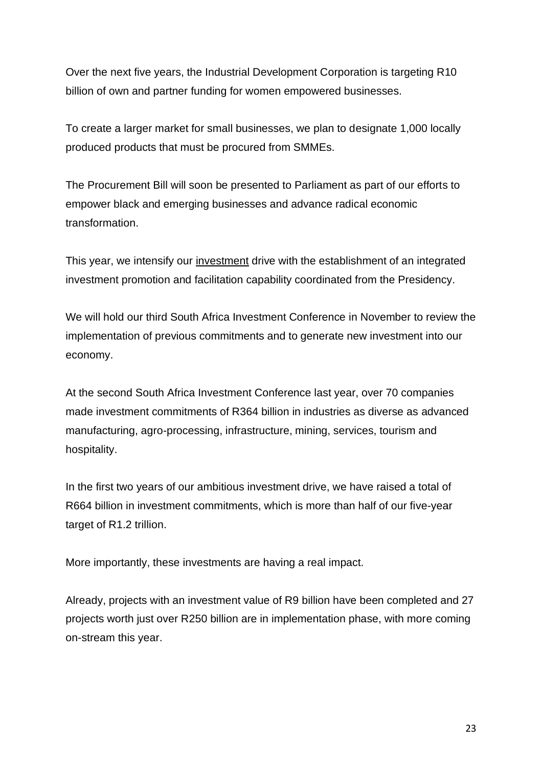Over the next five years, the Industrial Development Corporation is targeting R10 billion of own and partner funding for women empowered businesses.

To create a larger market for small businesses, we plan to designate 1,000 locally produced products that must be procured from SMMEs.

The Procurement Bill will soon be presented to Parliament as part of our efforts to empower black and emerging businesses and advance radical economic transformation.

This year, we intensify our investment drive with the establishment of an integrated investment promotion and facilitation capability coordinated from the Presidency.

We will hold our third South Africa Investment Conference in November to review the implementation of previous commitments and to generate new investment into our economy.

At the second South Africa Investment Conference last year, over 70 companies made investment commitments of R364 billion in industries as diverse as advanced manufacturing, agro-processing, infrastructure, mining, services, tourism and hospitality.

In the first two years of our ambitious investment drive, we have raised a total of R664 billion in investment commitments, which is more than half of our five-year target of R1.2 trillion.

More importantly, these investments are having a real impact.

Already, projects with an investment value of R9 billion have been completed and 27 projects worth just over R250 billion are in implementation phase, with more coming on-stream this year.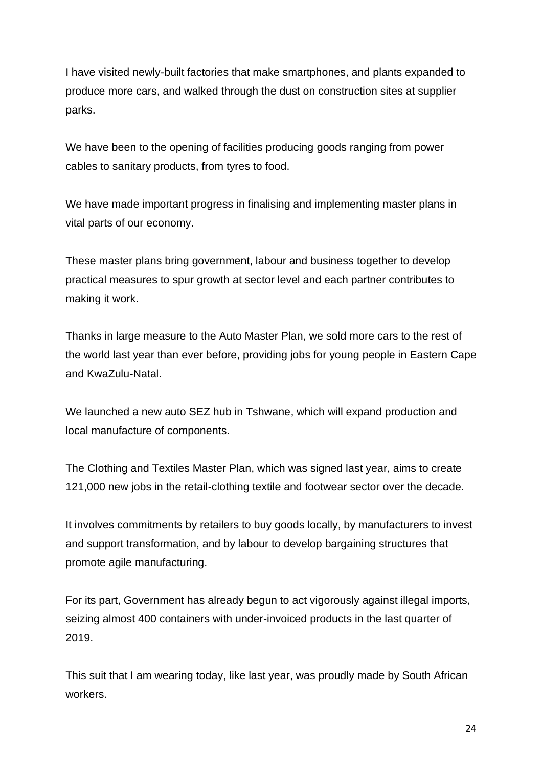I have visited newly-built factories that make smartphones, and plants expanded to produce more cars, and walked through the dust on construction sites at supplier parks.

We have been to the opening of facilities producing goods ranging from power cables to sanitary products, from tyres to food.

We have made important progress in finalising and implementing master plans in vital parts of our economy.

These master plans bring government, labour and business together to develop practical measures to spur growth at sector level and each partner contributes to making it work.

Thanks in large measure to the Auto Master Plan, we sold more cars to the rest of the world last year than ever before, providing jobs for young people in Eastern Cape and KwaZulu-Natal.

We launched a new auto SEZ hub in Tshwane, which will expand production and local manufacture of components.

The Clothing and Textiles Master Plan, which was signed last year, aims to create 121,000 new jobs in the retail-clothing textile and footwear sector over the decade.

It involves commitments by retailers to buy goods locally, by manufacturers to invest and support transformation, and by labour to develop bargaining structures that promote agile manufacturing.

For its part, Government has already begun to act vigorously against illegal imports, seizing almost 400 containers with under-invoiced products in the last quarter of 2019.

This suit that I am wearing today, like last year, was proudly made by South African workers.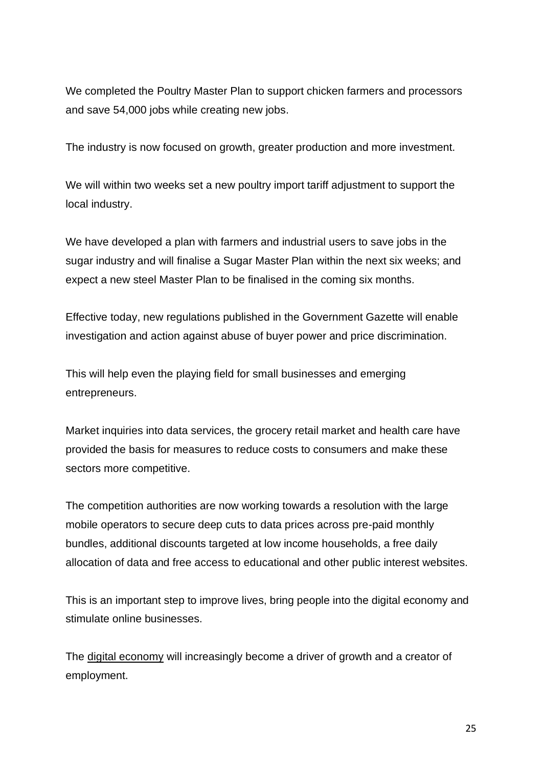We completed the Poultry Master Plan to support chicken farmers and processors and save 54,000 jobs while creating new jobs.

The industry is now focused on growth, greater production and more investment.

We will within two weeks set a new poultry import tariff adjustment to support the local industry.

We have developed a plan with farmers and industrial users to save jobs in the sugar industry and will finalise a Sugar Master Plan within the next six weeks; and expect a new steel Master Plan to be finalised in the coming six months.

Effective today, new regulations published in the Government Gazette will enable investigation and action against abuse of buyer power and price discrimination.

This will help even the playing field for small businesses and emerging entrepreneurs.

Market inquiries into data services, the grocery retail market and health care have provided the basis for measures to reduce costs to consumers and make these sectors more competitive.

The competition authorities are now working towards a resolution with the large mobile operators to secure deep cuts to data prices across pre-paid monthly bundles, additional discounts targeted at low income households, a free daily allocation of data and free access to educational and other public interest websites.

This is an important step to improve lives, bring people into the digital economy and stimulate online businesses.

The digital economy will increasingly become a driver of growth and a creator of employment.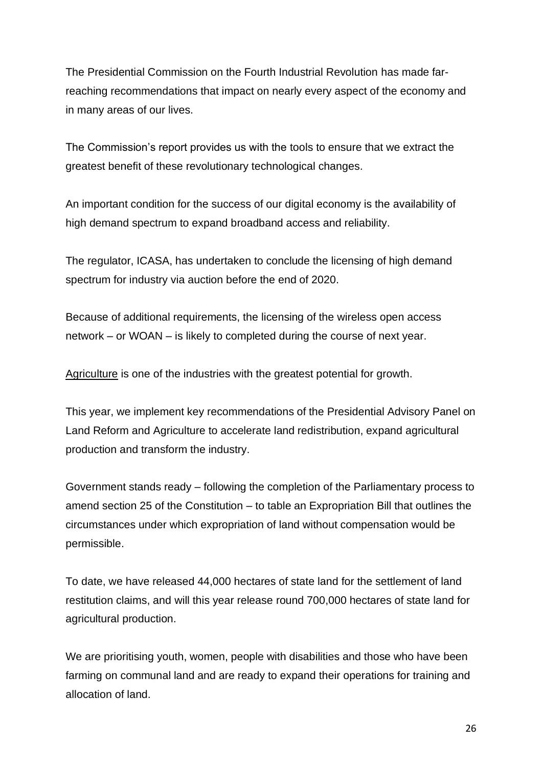The Presidential Commission on the Fourth Industrial Revolution has made farreaching recommendations that impact on nearly every aspect of the economy and in many areas of our lives.

The Commission's report provides us with the tools to ensure that we extract the greatest benefit of these revolutionary technological changes.

An important condition for the success of our digital economy is the availability of high demand spectrum to expand broadband access and reliability.

The regulator, ICASA, has undertaken to conclude the licensing of high demand spectrum for industry via auction before the end of 2020.

Because of additional requirements, the licensing of the wireless open access network – or WOAN – is likely to completed during the course of next year.

Agriculture is one of the industries with the greatest potential for growth.

This year, we implement key recommendations of the Presidential Advisory Panel on Land Reform and Agriculture to accelerate land redistribution, expand agricultural production and transform the industry.

Government stands ready – following the completion of the Parliamentary process to amend section 25 of the Constitution – to table an Expropriation Bill that outlines the circumstances under which expropriation of land without compensation would be permissible.

To date, we have released 44,000 hectares of state land for the settlement of land restitution claims, and will this year release round 700,000 hectares of state land for agricultural production.

We are prioritising youth, women, people with disabilities and those who have been farming on communal land and are ready to expand their operations for training and allocation of land.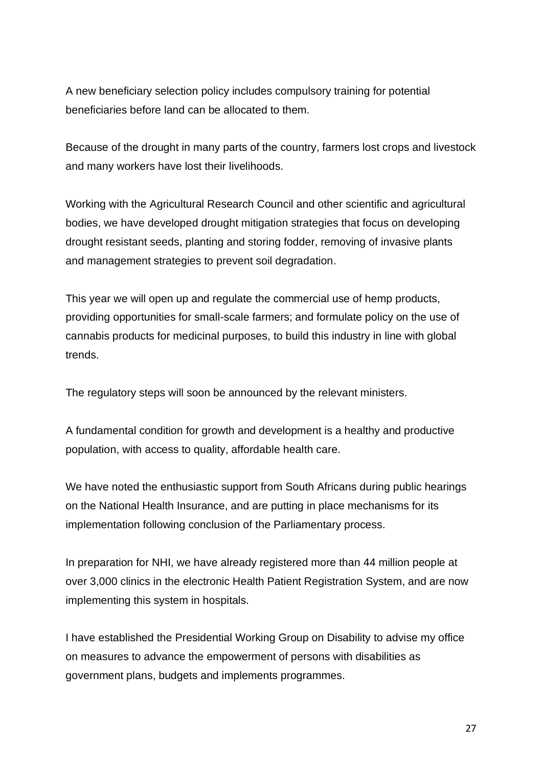A new beneficiary selection policy includes compulsory training for potential beneficiaries before land can be allocated to them.

Because of the drought in many parts of the country, farmers lost crops and livestock and many workers have lost their livelihoods.

Working with the Agricultural Research Council and other scientific and agricultural bodies, we have developed drought mitigation strategies that focus on developing drought resistant seeds, planting and storing fodder, removing of invasive plants and management strategies to prevent soil degradation.

This year we will open up and regulate the commercial use of hemp products, providing opportunities for small-scale farmers; and formulate policy on the use of cannabis products for medicinal purposes, to build this industry in line with global trends.

The regulatory steps will soon be announced by the relevant ministers.

A fundamental condition for growth and development is a healthy and productive population, with access to quality, affordable health care.

We have noted the enthusiastic support from South Africans during public hearings on the National Health Insurance, and are putting in place mechanisms for its implementation following conclusion of the Parliamentary process.

In preparation for NHI, we have already registered more than 44 million people at over 3,000 clinics in the electronic Health Patient Registration System, and are now implementing this system in hospitals.

I have established the Presidential Working Group on Disability to advise my office on measures to advance the empowerment of persons with disabilities as government plans, budgets and implements programmes.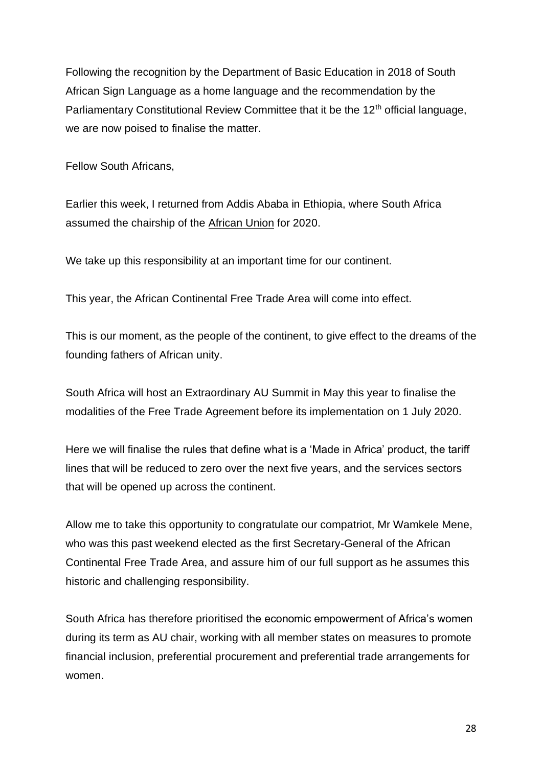Following the recognition by the Department of Basic Education in 2018 of South African Sign Language as a home language and the recommendation by the Parliamentary Constitutional Review Committee that it be the 12<sup>th</sup> official language, we are now poised to finalise the matter.

Fellow South Africans,

Earlier this week, I returned from Addis Ababa in Ethiopia, where South Africa assumed the chairship of the African Union for 2020.

We take up this responsibility at an important time for our continent.

This year, the African Continental Free Trade Area will come into effect.

This is our moment, as the people of the continent, to give effect to the dreams of the founding fathers of African unity.

South Africa will host an Extraordinary AU Summit in May this year to finalise the modalities of the Free Trade Agreement before its implementation on 1 July 2020.

Here we will finalise the rules that define what is a 'Made in Africa' product, the tariff lines that will be reduced to zero over the next five years, and the services sectors that will be opened up across the continent.

Allow me to take this opportunity to congratulate our compatriot, Mr Wamkele Mene, who was this past weekend elected as the first Secretary-General of the African Continental Free Trade Area, and assure him of our full support as he assumes this historic and challenging responsibility.

South Africa has therefore prioritised the economic empowerment of Africa's women during its term as AU chair, working with all member states on measures to promote financial inclusion, preferential procurement and preferential trade arrangements for women.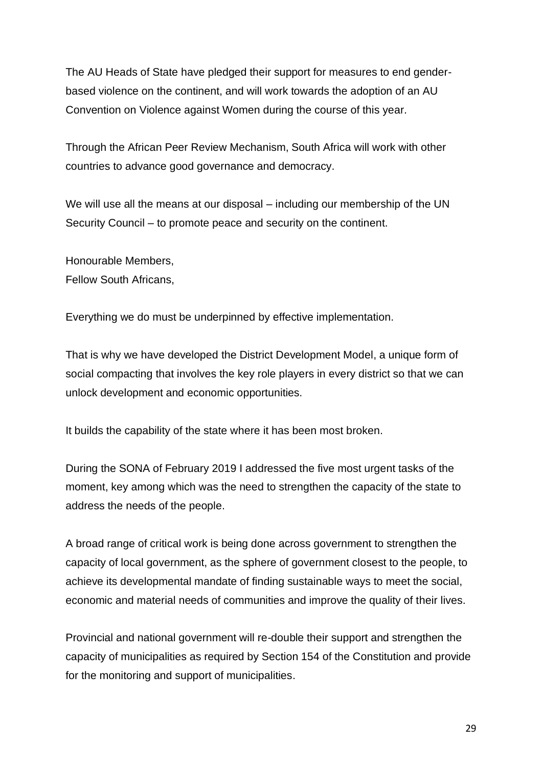The AU Heads of State have pledged their support for measures to end genderbased violence on the continent, and will work towards the adoption of an AU Convention on Violence against Women during the course of this year.

Through the African Peer Review Mechanism, South Africa will work with other countries to advance good governance and democracy.

We will use all the means at our disposal – including our membership of the UN Security Council – to promote peace and security on the continent.

Honourable Members, Fellow South Africans,

Everything we do must be underpinned by effective implementation.

That is why we have developed the District Development Model, a unique form of social compacting that involves the key role players in every district so that we can unlock development and economic opportunities.

It builds the capability of the state where it has been most broken.

During the SONA of February 2019 I addressed the five most urgent tasks of the moment, key among which was the need to strengthen the capacity of the state to address the needs of the people.

A broad range of critical work is being done across government to strengthen the capacity of local government, as the sphere of government closest to the people, to achieve its developmental mandate of finding sustainable ways to meet the social, economic and material needs of communities and improve the quality of their lives.

Provincial and national government will re-double their support and strengthen the capacity of municipalities as required by Section 154 of the Constitution and provide for the monitoring and support of municipalities.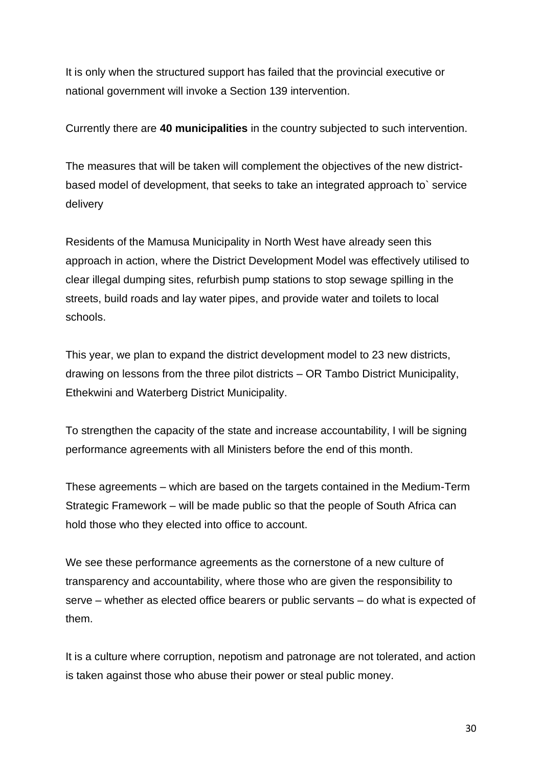It is only when the structured support has failed that the provincial executive or national government will invoke a Section 139 intervention.

Currently there are **40 municipalities** in the country subjected to such intervention.

The measures that will be taken will complement the objectives of the new districtbased model of development, that seeks to take an integrated approach to` service delivery

Residents of the Mamusa Municipality in North West have already seen this approach in action, where the District Development Model was effectively utilised to clear illegal dumping sites, refurbish pump stations to stop sewage spilling in the streets, build roads and lay water pipes, and provide water and toilets to local schools.

This year, we plan to expand the district development model to 23 new districts, drawing on lessons from the three pilot districts – OR Tambo District Municipality, Ethekwini and Waterberg District Municipality.

To strengthen the capacity of the state and increase accountability, I will be signing performance agreements with all Ministers before the end of this month.

These agreements – which are based on the targets contained in the Medium-Term Strategic Framework – will be made public so that the people of South Africa can hold those who they elected into office to account.

We see these performance agreements as the cornerstone of a new culture of transparency and accountability, where those who are given the responsibility to serve – whether as elected office bearers or public servants – do what is expected of them.

It is a culture where corruption, nepotism and patronage are not tolerated, and action is taken against those who abuse their power or steal public money.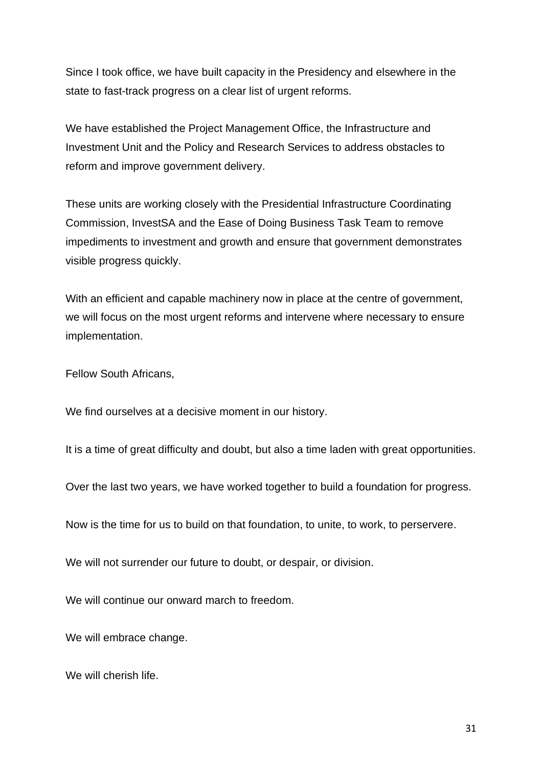Since I took office, we have built capacity in the Presidency and elsewhere in the state to fast-track progress on a clear list of urgent reforms.

We have established the Project Management Office, the Infrastructure and Investment Unit and the Policy and Research Services to address obstacles to reform and improve government delivery.

These units are working closely with the Presidential Infrastructure Coordinating Commission, InvestSA and the Ease of Doing Business Task Team to remove impediments to investment and growth and ensure that government demonstrates visible progress quickly.

With an efficient and capable machinery now in place at the centre of government, we will focus on the most urgent reforms and intervene where necessary to ensure implementation.

Fellow South Africans,

We find ourselves at a decisive moment in our history.

It is a time of great difficulty and doubt, but also a time laden with great opportunities.

Over the last two years, we have worked together to build a foundation for progress.

Now is the time for us to build on that foundation, to unite, to work, to perservere.

We will not surrender our future to doubt, or despair, or division.

We will continue our onward march to freedom.

We will embrace change.

We will cherish life.